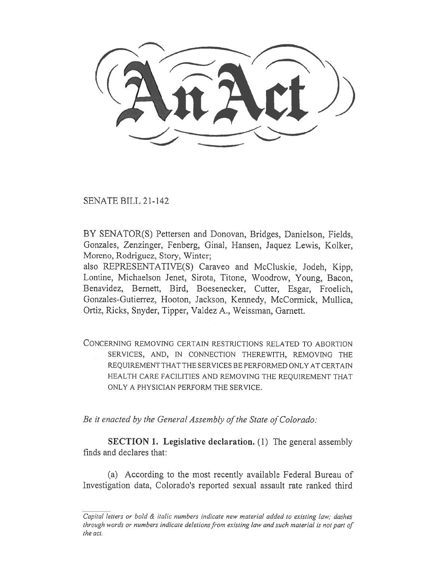SENATE BILL 21-142

BY SENATOR(S) Pettersen and Donovan, Bridges, Danielson, Fields, Gonzales, Zenzinger, Fenberg, Ginal, Hansen, Jaquez Lewis, Kolker, Moreno, Rodriguez, Story, Winter;

also REPRESENTATIVE(S) Caraveo and McCluskie, Jodeh, Kipp, Lontine, Michaelson Jenet, Sirota, Titone, Woodrow, Young, Bacon, Benavidez, Bernett, Bird, Boesenecker, Cutter, Esgar, Froelich, Gonzales-Gutierrez, Hooton, Jackson, Kennedy, McCormick, Mullica, Ortiz, Ricks, Snyder, Tipper, Valdez A., Weissman, Garnett.

CONCERNING REMOVING CERTAIN RESTRICTIONS RELATED TO ABORTION SERVICES, AND, IN CONNECTION THEREWITH, REMOVING THE REQUIREMENT THAT THE SERVICES BE PERFORMED ONLY AT CERTAIN HEALTH CARE FACILITIES AND REMOVING THE REQUIREMENT THAT ONLY A PHYSICIAN PERFORM THE SERVICE.

Be it enacted by the General Assembly of the State of Colorado:

SECTION 1. Legislative declaration. (1) The general assembly finds and declares that:

(a) According to the most recently available Federal Bureau of Investigation data, Colorado's reported sexual assault rate ranked third

Capital letters or bold & italic numbers indicate new material added to existing law; dashes through words or numbers indicate deletions from existing law and such material is not part of the act.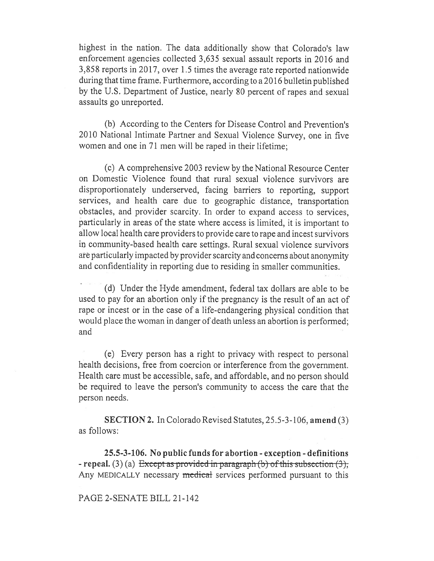highest in the nation. The data additionally show that Colorado's law enforcement agencies collected 3,635 sexual assault reports in 2016 and 3,858 reports in 2017, over 1.5 times the average rate reported nationwide during that time frame. Furthermore, according to a 2016 bulletin published by the U.S. Department of Justice, nearly 80 percent of rapes and sexual assaults go unreported.

(b) According to the Centers for Disease Control and Prevention's 2010 National Intimate Partner and Sexual Violence Survey, one in five women and one in 71 men will be raped in their lifetime;

(c) A comprehensive 2003 review by the National Resource Center on Domestic Violence found that rural sexual violence survivors are disproportionately underserved, facing barriers to reporting, support services, and health care due to geographic distance, transportation obstacles, and provider scarcity. In order to expand access to services, particularly in areas of the state where access is limited, it is important to allow local health care providers to provide care to rape and incest survivors in community-based health care settings. Rural sexual violence survivors are particularly impacted by provider scarcity and concerns about anonymity and confidentiality in reporting due to residing in smaller communities.

(d) Under the Hyde amendment, federal tax dollars are able to be used to pay for an abortion only if the pregnancy is the result of an act of rape or incest or in the case of a life-endangering physical condition that would place the woman in danger of death unless an abortion is performed; and

(e) Every person has a right to privacy with respect to personal health decisions, free from coercion or interference from the government. Health care must be accessible, safe, and affordable, and no person should be required to leave the person's community to access the care that the person needs.

SECTION 2. In Colorado Revised Statutes, 25.5-3-106, amend (3) as follows:

25.5-3-106. No public funds for abortion - exception - definitions - repeal. (3) (a) Except as provided in paragraph (b) of this subsection (3), Any MEDICALLY necessary medical services performed pursuant to this

PAGE 2-SENATE BILL 21-142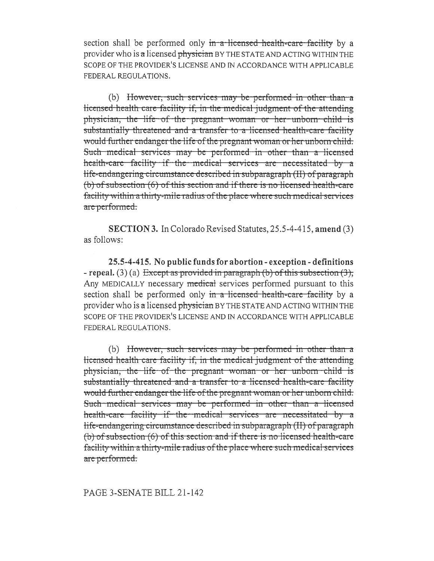section shall be performed only in a licensed health-care facility by a provider who is a licensed physician BY THE STATE AND ACTING WITHIN THE SCOPE OF THE PROVIDER'S LICENSE AND IN ACCORDANCE WITH APPLICABLE FEDERAL REGULATIONS.

(b) However, such services may be performed in other than a licensed health care facility if, in the medical judgment of the attending physician, the life of the pregnant woman or her unborn child is substantially threatened and a transfer to a licensed health-care facility would further endanger the life of the pregnant woman or her unborn child. Such medical services may be performed in other than a licensed health-care facility if the medical services are necessitated by a life-endangering circumstance described in subparagraph (II) of paragraph (b) of subsection (6) of this section and if there is no licensed health-care facility within a thirty-mile radius of the place where such medical services are performed.

**SECTION 3.** In Colorado Revised Statutes, 25.5-4-415, amend (3) as follows:

25.5-4-415. No public funds for abortion - exception - definitions - repeal. (3) (a) Except as provided in paragraph (b) of this subsection  $(3)$ . Any MEDICALLY necessary medical services performed pursuant to this section shall be performed only in a licensed health-care facility by a provider who is a licensed physician BY THE STATE AND ACTING WITHIN THE SCOPE OF THE PROVIDER'S LICENSE AND IN ACCORDANCE WITH APPLICABLE FEDERAL REGULATIONS.

(b) However, such services may be performed in other than a licensed health care facility if, in the medical judgment of the attending physician, the life of the pregnant woman or her unborn child is substantially threatened and a transfer to a licensed health-care facility would further endanger the life of the pregnant woman or her unborn child. Such medical services may be performed in other than a licensed health-care facility if the medical services are necessitated by a life-endangering circumstance described in subparagraph (II) of paragraph (b) of subsection (6) of this section and if there is no licensed health-care facility within a thirty-mile radius of the place where such medical services are performed.

## PAGE 3-SENATE BILL 21-142